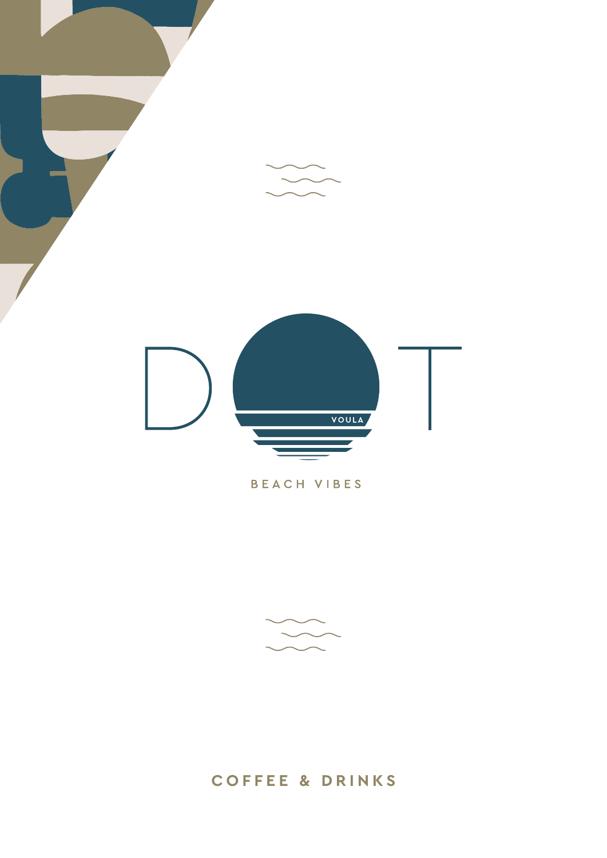

## BEACH VIBES



# **coffee & drinks**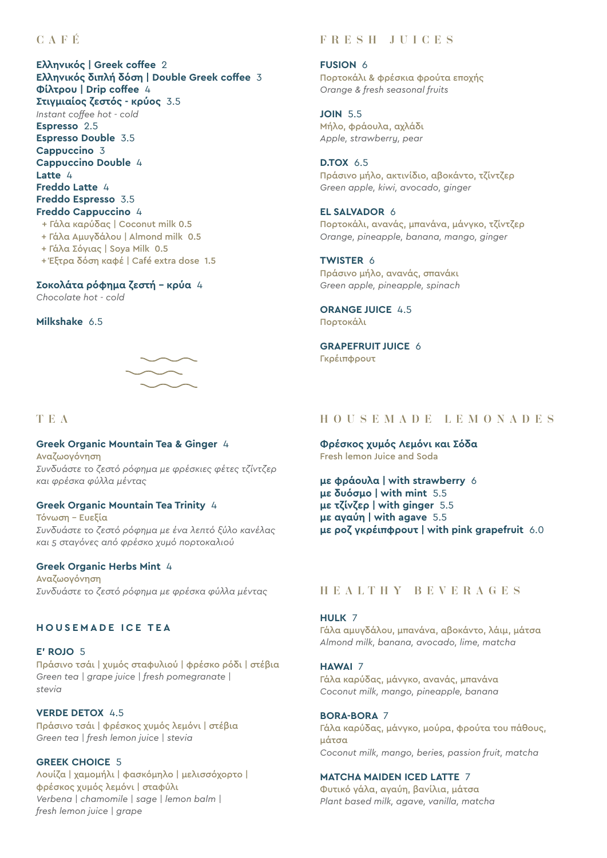## CAFÉ

### **Ελληνικός | Greek coffee** 2 **Ελληνικός διπλή δόση | Double Greek coffee** 3 **Φίλτρου | Drip coffee** 4 **Στιγµιαίος ζεστός - κρύος** 3.5 *Ιnstant coffee hot - cold* **Espresso** 2.5 **Espresso Double** 3.5 **Cappuccino** 3 **Cappuccino Double** 4 **Latte** 4 **Freddo Latte** 4 **Freddo Espresso** 3.5 **Freddo Cappuccino** 4 + Γάλα καρύδας | Coconut milk 0.5 + Γάλα Αµυγδάλου | Almond milk 0.5

- + Γάλα Σόγιας | Soya Milk 0.5
- + Έξτρα δόση καφέ | Café extra dose 1.5

## **Σοκολάτα ρόφηµα ζεστή – κρύα** 4

*Chocolate hot - cold*

### **Milkshake** 6.5



### **TEA**

## **Greek Organic Mountain Tea & Ginger** 4

Αναζωογόνηση *Συνδυάστε το ζεστό ρόφημα με φρέσκιες φέτες τζίντζερ και φρέσκα φύλλα μέντας*

### **Greek Organic Mountain Tea Trinity** 4

Τόνωση – Eυεξία *Συνδυάστε το ζεστό ρόφημα με ένα λεπτό ξύλο κανέλας και 5 σταγόνες από φρέσκο χυμό πορτοκαλιού*

### **Greek Organic Herbs Mint** 4

Αναζωογόνηση *Συνδυάστε το ζεστό ρόφημα με φρέσκα φύλλα μέντας* 

### **H O U SE M A DE ICE T E A**

### **E' ROJO** 5

Πράσινο τσάι | χυμός σταφυλιού | φρέσκο ρόδι | στέβια *Green tea | grape juice | fresh pomegranate | stevia*

**VERDE DETOX** 4.5 Πράσινο τσάι | φρέσκος χυμός λεμόνι | στέβια *Green tea | fresh lemon juice | stevia*

### **GREEK CHOICE** 5

Λουίζα | χαμομήλι | φασκόμηλο | μελισσόχορτο | φρέσκος χυμός λεμόνι | σταφύλι *Verbena | chamomile | sage | lemon balm | fresh lemon juice | grape*

## F R E SH JUI CE S

### **FUSION** 6 Πορτοκάλι & φρέσκια φρούτα εποχής *Orange & fresh seasonal fruits*

**JOIN** 5.5 Μήλο, φράουλα, αχλάδι *Apple, strawberry, pear*

### **D.TOX** 6.5

Πράσινο μήλο, ακτινίδιο, αβοκάντο, τζίντζερ *Green apple, kiwi, avocado, ginger*

### **EL SALVADOR** 6

Πορτοκάλι, ανανάς, μπανάνα, μάνγκο, τζίντζερ *Orange, pineapple, banana, mango, ginger*

## **TWISTER** 6

Πράσινο μήλο, ανανάς, σπανάκι *Green apple, pineapple, spinach*

**ORANGE JUICE** 4.5 Πορτοκάλι

**GRAPEFRUIT JUICE** 6 Γκρέιπφρουτ

### HOUS E M A D E L E MON A D E S

**Φρέσκος χυμός Λεμόνι και Σόδα** Fresh lemon Juice and Soda

**με φράουλα | with strawberry** 6 **με δυόσμο | with mint** 5.5 **με τζίνζερ | with ginger** 5.5 **με αγαύη | with agave** 5.5 **με ροζ γκρέιπφρουτ | with pink grapefruit** 6.0

## H EA L T HY B E V E R A G E S

### **HULK** 7

Γάλα αμυγδάλου, μπανάνα, αβοκάντο, λάιμ, μάτσα *Almond milk, banana, avocado, lime, matcha*

## **HAWAI** 7

Γάλα καρύδας, μάνγκο, ανανάς, μπανάνα *Coconut milk, mango, pineapple, banana*

### **BORA-BORA** 7

Γάλα καρύδας, μάνγκο, μούρα, φρούτα του πάθους, μάτσα *Coconut milk, mango, beries, passion fruit, matcha*

### **MATCHA MAIDEN ICED LATTE** 7

Φυτικό γάλα, αγαύη, βανίλια, μάτσα *Plant based milk, agave, vanilla, matcha*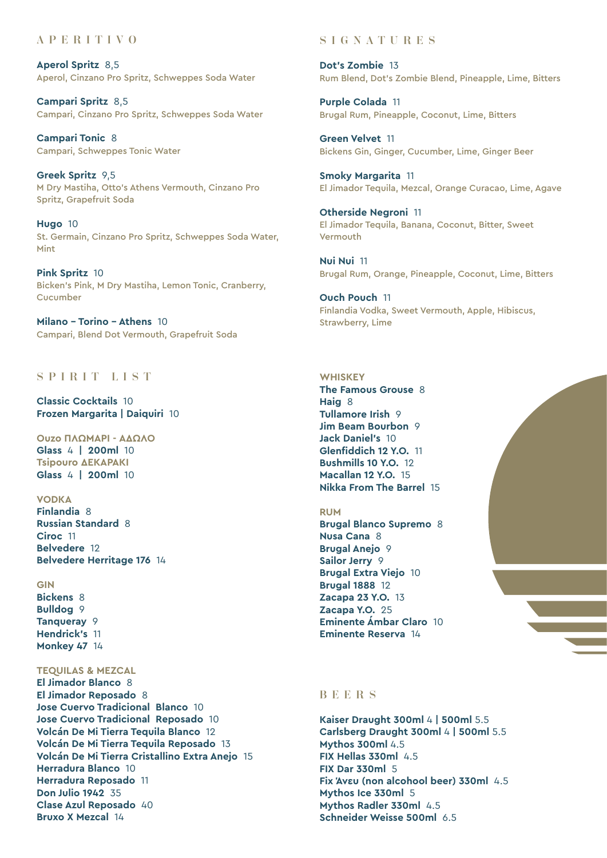## A P E R I T IVO

**Aperol Spritz** 8,5 Aperol, Cinzano Pro Spritz, Schweppes Soda Water

**Campari Spritz** 8,5 Campari, Cinzano Pro Spritz, Schweppes Soda Water

**Campari Tonic** 8 Campari, Schweppes Tonic Water

**Greek Spritz** 9,5 M Dry Mastiha, Otto's Athens Vermouth, Cinzano Pro Spritz, Grapefruit Soda

**Hugo** 10 St. Germain, Cinzano Pro Spritz, Schweppes Soda Water, Mint

**Pink Spritz** 10 Bicken's Pink, M Dry Mastiha, Lemon Tonic, Cranberry, Cucumber

**Milano – Torino – Athens** 10 Campari, Blend Dot Vermouth, Grapefruit Soda

## SPIRIT LIST

**Classic Cocktails** 10 **Frozen Margarita | Daiquiri** 10

**Ouzo ΠΛΩΜΑΡΙ - ΑΔΩΛΟ Glass** 4 **| 200ml** 10 **Tsipouro ΔΕΚΑΡΑΚΙ Glass** 4 **| 200ml** 10

**Vodka Finlandia** 8 **Russian Standard** 8 **Ciroc** 11 **Belvedere** 12 **Belvedere Herritage 176** 14

**Gin Bickens** 8 **Bulldog** 9 **Tanqueray** 9 **Hendrick's** 11 **Monkey 47** 14

**Tequilas & Mezcal**

**El Jimador Blanco** 8 **El Jimador Reposado** 8 **Jose Cuervo Tradicional Blanco** 10 **Jose Cuervo Tradicional Reposado** 10 **Volcán De Mi Tierra Tequila Blanco** 12 **Volcán De Mi Tierra Tequila Reposado** 13 **Volcán De Mi Tierra Cristallino Extra Anejo** 15 **Herradura Blanco** 10 **Herradura Reposado** 11 **Don Julio 1942** 35 **Clase Azul Reposado** 40 **Bruxo X Mezcal** 14

## S I G N A T U R E S

**Dot's Zombie** 13 Rum Blend, Dot's Zombie Blend, Pineapple, Lime, Bitters

**Purple Colada** 11 Brugal Rum, Pineapple, Coconut, Lime, Bitters

**Green Velvet** 11 Bickens Gin, Ginger, Cucumber, Lime, Ginger Beer

**Smoky Margarita** 11 El Jimador Tequila, Mezcal, Orange Curacao, Lime, Agave

**Otherside Negroni** 11 El Jimador Tequila, Banana, Coconut, Bitter, Sweet Vermouth

**Nui Nui** 11 Brugal Rum, Orange, Pineapple, Coconut, Lime, Bitters

**Ouch Pouch** 11 Finlandia Vodka, Sweet Vermouth, Apple, Hibiscus, Strawberry, Lime

#### **Whiskey**

**The Famous Grouse** 8 **Haig** 8 **Tullamore Irish** 9 **Jim Beam Bourbon** 9 **Jack Daniel's** 10 **Glenfiddich 12 Y.O.** 11 **Bushmills 10 Y.O.** 12 **Macallan 12 Y.O.** 15 **Nikka From The Barrel** 15

#### **Rum**

**Brugal Blanco Supremo** 8 **Nusa Cana** 8 **Brugal Anejo** 9 **Sailor Jerry** 9 **Brugal Extra Viejo** 10 **Brugal 1888** 12 **Zacapa 23 Y.O.** 13 **Zacapa Y.O.** 25 **Eminente Ámbar Claro** 10 **Eminente Reserva** 14



#### B EE R S

**Kaiser Draught 300ml** 4 **| 500ml** 5.5 **Carlsberg Draught 300ml** 4 **| 500ml** 5.5 **Mythos 300ml** 4.5 **FIX Hellas 330ml** 4.5 **FIX Dar 330ml** 5 **Fix Άνευ (non alcohool beer) 330ml** 4.5 **Mythos Ice 330ml** 5 **Mythos Radler 330ml** 4.5 **Schneider Weisse 500ml** 6.5